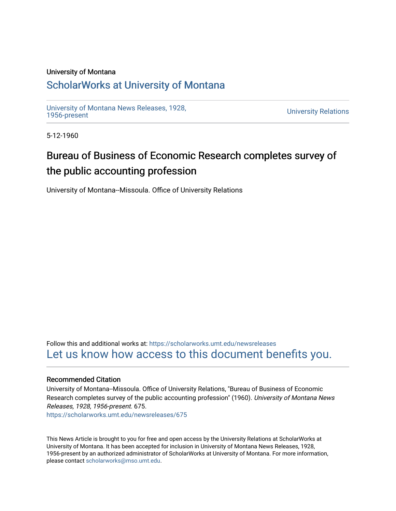### University of Montana

## [ScholarWorks at University of Montana](https://scholarworks.umt.edu/)

[University of Montana News Releases, 1928,](https://scholarworks.umt.edu/newsreleases) 

**University Relations** 

5-12-1960

# Bureau of Business of Economic Research completes survey of the public accounting profession

University of Montana--Missoula. Office of University Relations

Follow this and additional works at: [https://scholarworks.umt.edu/newsreleases](https://scholarworks.umt.edu/newsreleases?utm_source=scholarworks.umt.edu%2Fnewsreleases%2F675&utm_medium=PDF&utm_campaign=PDFCoverPages) [Let us know how access to this document benefits you.](https://goo.gl/forms/s2rGfXOLzz71qgsB2) 

### Recommended Citation

University of Montana--Missoula. Office of University Relations, "Bureau of Business of Economic Research completes survey of the public accounting profession" (1960). University of Montana News Releases, 1928, 1956-present. 675. [https://scholarworks.umt.edu/newsreleases/675](https://scholarworks.umt.edu/newsreleases/675?utm_source=scholarworks.umt.edu%2Fnewsreleases%2F675&utm_medium=PDF&utm_campaign=PDFCoverPages)

This News Article is brought to you for free and open access by the University Relations at ScholarWorks at University of Montana. It has been accepted for inclusion in University of Montana News Releases, 1928, 1956-present by an authorized administrator of ScholarWorks at University of Montana. For more information, please contact [scholarworks@mso.umt.edu.](mailto:scholarworks@mso.umt.edu)